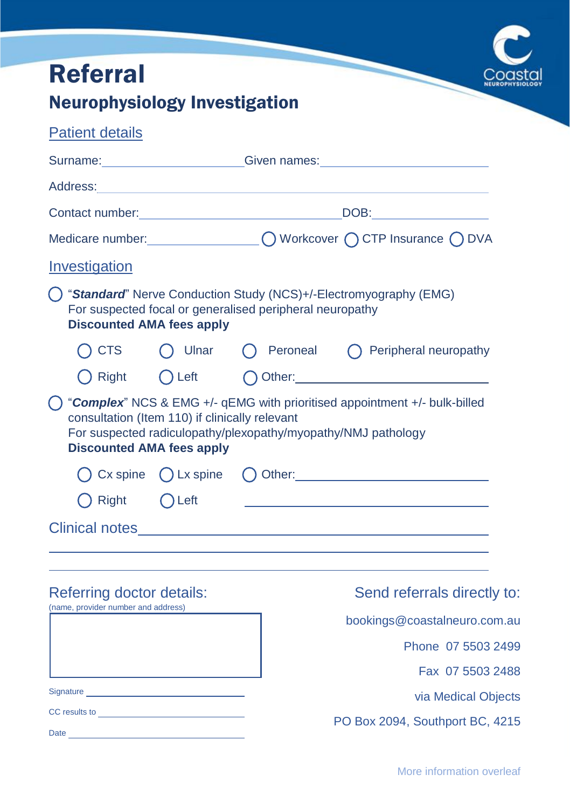| <b>Referral</b>                                                                                      |  |                                                                                                                     |                                                                                                                                                                                                                                |  |  |  |  |  |  |
|------------------------------------------------------------------------------------------------------|--|---------------------------------------------------------------------------------------------------------------------|--------------------------------------------------------------------------------------------------------------------------------------------------------------------------------------------------------------------------------|--|--|--|--|--|--|
| <b>Neurophysiology Investigation</b>                                                                 |  |                                                                                                                     |                                                                                                                                                                                                                                |  |  |  |  |  |  |
| <b>Patient details</b>                                                                               |  |                                                                                                                     |                                                                                                                                                                                                                                |  |  |  |  |  |  |
|                                                                                                      |  | Surname: Communication Contract Communication Communication Communication Communication Communication Communication |                                                                                                                                                                                                                                |  |  |  |  |  |  |
| Address: Address: Address: Address: Address: Address: Address: Address: Address: Address: Address: A |  |                                                                                                                     |                                                                                                                                                                                                                                |  |  |  |  |  |  |
| Contact number: New York Contact number:                                                             |  |                                                                                                                     | DOB: the contract of the contract of the contract of the contract of the contract of the contract of the contract of the contract of the contract of the contract of the contract of the contract of the contract of the contr |  |  |  |  |  |  |
|                                                                                                      |  |                                                                                                                     | Medicare number: \[\] \] \] \] \] \] \] \DVorkcover \[\] \] CTP Insurance \[\] DVA                                                                                                                                             |  |  |  |  |  |  |
| Investigation                                                                                        |  |                                                                                                                     |                                                                                                                                                                                                                                |  |  |  |  |  |  |
| <b>Discounted AMA fees apply</b>                                                                     |  | For suspected focal or generalised peripheral neuropathy                                                            | () "Standard" Nerve Conduction Study (NCS)+/-Electromyography (EMG)                                                                                                                                                            |  |  |  |  |  |  |
| $( )$ CTS                                                                                            |  | ( Ulnar ( Peroneal                                                                                                  | $\bigcap$ Peripheral neuropathy                                                                                                                                                                                                |  |  |  |  |  |  |
| () Right                                                                                             |  |                                                                                                                     |                                                                                                                                                                                                                                |  |  |  |  |  |  |
| consultation (Item 110) if clinically relevant<br><b>Discounted AMA fees apply</b>                   |  | For suspected radiculopathy/plexopathy/myopathy/NMJ pathology                                                       | "Complex" NCS & EMG +/- qEMG with prioritised appointment +/- bulk-billed                                                                                                                                                      |  |  |  |  |  |  |
|                                                                                                      |  |                                                                                                                     |                                                                                                                                                                                                                                |  |  |  |  |  |  |
| $\bigcap$ Right $\bigcap$ Left                                                                       |  |                                                                                                                     |                                                                                                                                                                                                                                |  |  |  |  |  |  |
|                                                                                                      |  |                                                                                                                     |                                                                                                                                                                                                                                |  |  |  |  |  |  |
|                                                                                                      |  |                                                                                                                     |                                                                                                                                                                                                                                |  |  |  |  |  |  |
|                                                                                                      |  |                                                                                                                     |                                                                                                                                                                                                                                |  |  |  |  |  |  |

#### Referring doctor details:

(name, provider number and address)

| Signature <u>___________________________</u>                      |  |  |  |  |  |
|-------------------------------------------------------------------|--|--|--|--|--|
| CC results to <b>contain a set of the container and container</b> |  |  |  |  |  |
| Date                                                              |  |  |  |  |  |

Send referrals directly to:

bookings@coastalneuro.com.au

Phone 07 5503 2499

Fax 07 5503 2488

via Medical Objects

PO Box 2094, Southport BC, 4215